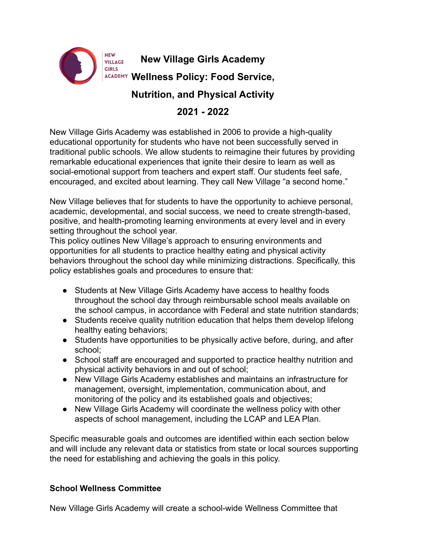

**New Village Girls Academy**

**Wellness Policy: Food Service,**

**Nutrition, and Physical Activity**

# **2021 - 2022**

New Village Girls Academy was established in 2006 to provide a high-quality educational opportunity for students who have not been successfully served in traditional public schools. We allow students to reimagine their futures by providing remarkable educational experiences that ignite their desire to learn as well as social-emotional support from teachers and expert staff. Our students feel safe, encouraged, and excited about learning. They call New Village "a second home."

New Village believes that for students to have the opportunity to achieve personal, academic, developmental, and social success, we need to create strength-based, positive, and health-promoting learning environments at every level and in every setting throughout the school year.

This policy outlines New Village's approach to ensuring environments and opportunities for all students to practice healthy eating and physical activity behaviors throughout the school day while minimizing distractions. Specifically, this policy establishes goals and procedures to ensure that:

- Students at New Village Girls Academy have access to healthy foods throughout the school day through reimbursable school meals available on the school campus, in accordance with Federal and state nutrition standards;
- Students receive quality nutrition education that helps them develop lifelong healthy eating behaviors;
- Students have opportunities to be physically active before, during, and after school;
- School staff are encouraged and supported to practice healthy nutrition and physical activity behaviors in and out of school;
- New Village Girls Academy establishes and maintains an infrastructure for management, oversight, implementation, communication about, and monitoring of the policy and its established goals and objectives;
- New Village Girls Academy will coordinate the wellness policy with other aspects of school management, including the LCAP and LEA Plan.

Specific measurable goals and outcomes are identified within each section below and will include any relevant data or statistics from state or local sources supporting the need for establishing and achieving the goals in this policy.

## **School Wellness Committee**

New Village Girls Academy will create a school-wide Wellness Committee that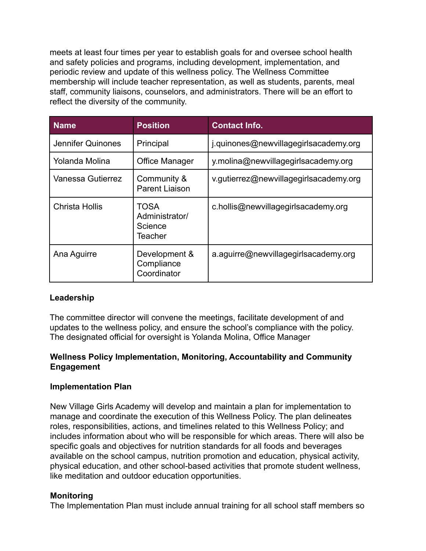meets at least four times per year to establish goals for and oversee school health and safety policies and programs, including development, implementation, and periodic review and update of this wellness policy. The Wellness Committee membership will include teacher representation, as well as students, parents, meal staff, community liaisons, counselors, and administrators. There will be an effort to reflect the diversity of the community.

| <b>Name</b>           | <b>Position</b>                              | <b>Contact Info.</b>                   |
|-----------------------|----------------------------------------------|----------------------------------------|
| Jennifer Quinones     | Principal                                    | j.quinones@newvillagegirlsacademy.org  |
| Yolanda Molina        | <b>Office Manager</b>                        | y.molina@newvillagegirlsacademy.org    |
| Vanessa Gutierrez     | Community &<br><b>Parent Liaison</b>         | v.gutierrez@newvillagegirlsacademy.org |
| <b>Christa Hollis</b> | TOSA<br>Administrator/<br>Science<br>Teacher | c.hollis@newvillagegirlsacademy.org    |
| Ana Aguirre           | Development &<br>Compliance<br>Coordinator   | a.aguirre@newvillagegirlsacademy.org   |

## **Leadership**

The committee director will convene the meetings, facilitate development of and updates to the wellness policy, and ensure the school's compliance with the policy. The designated official for oversight is Yolanda Molina, Office Manager

#### **Wellness Policy Implementation, Monitoring, Accountability and Community Engagement**

#### **Implementation Plan**

New Village Girls Academy will develop and maintain a plan for implementation to manage and coordinate the execution of this Wellness Policy. The plan delineates roles, responsibilities, actions, and timelines related to this Wellness Policy; and includes information about who will be responsible for which areas. There will also be specific goals and objectives for nutrition standards for all foods and beverages available on the school campus, nutrition promotion and education, physical activity, physical education, and other school-based activities that promote student wellness, like meditation and outdoor education opportunities.

#### **Monitoring**

The Implementation Plan must include annual training for all school staff members so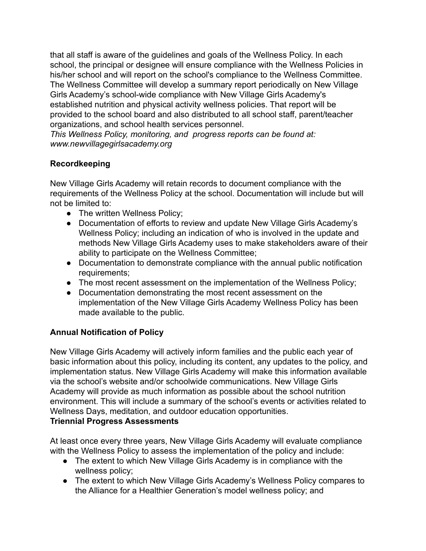that all staff is aware of the guidelines and goals of the Wellness Policy. In each school, the principal or designee will ensure compliance with the Wellness Policies in his/her school and will report on the school's compliance to the Wellness Committee. The Wellness Committee will develop a summary report periodically on New Village Girls Academy's school-wide compliance with New Village Girls Academy's established nutrition and physical activity wellness policies. That report will be provided to the school board and also distributed to all school staff, parent/teacher organizations, and school health services personnel.

*This Wellness Policy, monitoring, and progress reports can be found at: www.newvillagegirlsacademy.org*

## **Recordkeeping**

New Village Girls Academy will retain records to document compliance with the requirements of the Wellness Policy at the school. Documentation will include but will not be limited to:

- The written Wellness Policy;
- Documentation of efforts to review and update New Village Girls Academy's Wellness Policy; including an indication of who is involved in the update and methods New Village Girls Academy uses to make stakeholders aware of their ability to participate on the Wellness Committee;
- Documentation to demonstrate compliance with the annual public notification requirements;
- The most recent assessment on the implementation of the Wellness Policy;
- Documentation demonstrating the most recent assessment on the implementation of the New Village Girls Academy Wellness Policy has been made available to the public.

## **Annual Notification of Policy**

New Village Girls Academy will actively inform families and the public each year of basic information about this policy, including its content, any updates to the policy, and implementation status. New Village Girls Academy will make this information available via the school's website and/or schoolwide communications. New Village Girls Academy will provide as much information as possible about the school nutrition environment. This will include a summary of the school's events or activities related to Wellness Days, meditation, and outdoor education opportunities. **Triennial Progress Assessments**

At least once every three years, New Village Girls Academy will evaluate compliance with the Wellness Policy to assess the implementation of the policy and include:

- The extent to which New Village Girls Academy is in compliance with the wellness policy;
- The extent to which New Village Girls Academy's Wellness Policy compares to the Alliance for a Healthier Generation's model wellness policy; and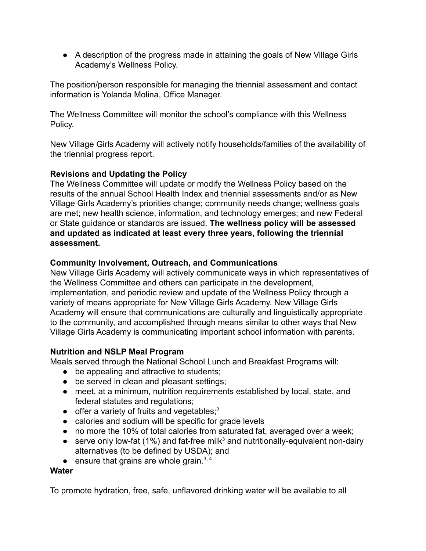● A description of the progress made in attaining the goals of New Village Girls Academy's Wellness Policy.

The position/person responsible for managing the triennial assessment and contact information is Yolanda Molina, Office Manager.

The Wellness Committee will monitor the school's compliance with this Wellness Policy.

New Village Girls Academy will actively notify households/families of the availability of the triennial progress report*.*

## **Revisions and Updating the Policy**

The Wellness Committee will update or modify the Wellness Policy based on the results of the annual School Health Index and triennial assessments and/or as New Village Girls Academy's priorities change; community needs change; wellness goals are met; new health science, information, and technology emerges; and new Federal or State guidance or standards are issued. **The wellness policy will be assessed and updated as indicated at least every three years, following the triennial assessment.**

## **Community Involvement, Outreach, and Communications**

New Village Girls Academy will actively communicate ways in which representatives of the Wellness Committee and others can participate in the development, implementation, and periodic review and update of the Wellness Policy through a variety of means appropriate for New Village Girls Academy. New Village Girls Academy will ensure that communications are culturally and linguistically appropriate to the community, and accomplished through means similar to other ways that New Village Girls Academy is communicating important school information with parents.

## **Nutrition and NSLP Meal Program**

Meals served through the National School Lunch and Breakfast Programs will:

- be appealing and attractive to students;
- be served in clean and pleasant settings;
- meet, at a minimum, nutrition requirements established by local, state, and federal statutes and regulations;
- $\bullet$  offer a variety of fruits and vegetables;<sup>2</sup>
- calories and sodium will be specific for grade levels
- no more the 10% of total calories from saturated fat, averaged over a week;
- **•** serve only low-fat (1%) and fat-free milk<sup>3</sup> and nutritionally-equivalent non-dairy alternatives (to be defined by USDA); and
- $\bullet$  ensure that grains are whole grain.<sup>3,4</sup>

#### **Water**

To promote hydration, free, safe, unflavored drinking water will be available to all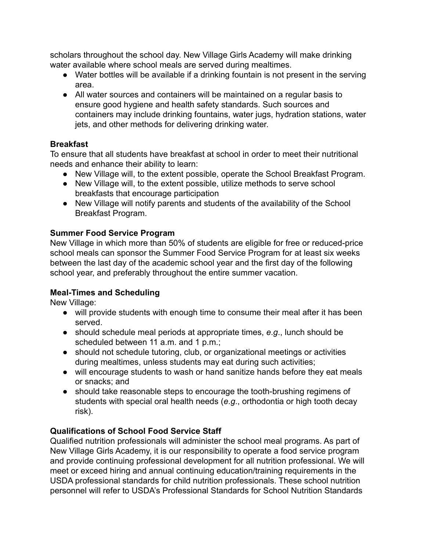scholars throughout the school day. New Village Girls Academy will make drinking water available where school meals are served during mealtimes.

- Water bottles will be available if a drinking fountain is not present in the serving area.
- All water sources and containers will be maintained on a regular basis to ensure good hygiene and health safety standards. Such sources and containers may include drinking fountains, water jugs, hydration stations, water jets, and other methods for delivering drinking water.

## **Breakfast**

To ensure that all students have breakfast at school in order to meet their nutritional needs and enhance their ability to learn:

- New Village will, to the extent possible, operate the School Breakfast Program.
- New Village will, to the extent possible, utilize methods to serve school breakfasts that encourage participation
- New Village will notify parents and students of the availability of the School Breakfast Program.

## **Summer Food Service Program**

New Village in which more than 50% of students are eligible for free or reduced-price school meals can sponsor the Summer Food Service Program for at least six weeks between the last day of the academic school year and the first day of the following school year, and preferably throughout the entire summer vacation.

## **Meal-Times and Scheduling**

New Village:

- will provide students with enough time to consume their meal after it has been served.
- should schedule meal periods at appropriate times, *e*.*g*., lunch should be scheduled between 11 a.m. and 1 p.m.;
- should not schedule tutoring, club, or organizational meetings or activities during mealtimes, unless students may eat during such activities;
- will encourage students to wash or hand sanitize hands before they eat meals or snacks; and
- should take reasonable steps to encourage the tooth-brushing regimens of students with special oral health needs (*e*.*g*., orthodontia or high tooth decay risk).

## **Qualifications of School Food Service Staff**

Qualified nutrition professionals will administer the school meal programs. As part of New Village Girls Academy, it is our responsibility to operate a food service program and provide continuing professional development for all nutrition professional. We will meet or exceed hiring and annual continuing education/training requirements in the USDA professional standards for child nutrition professionals. These school nutrition personnel will refer to USDA's Professional Standards for School Nutrition Standards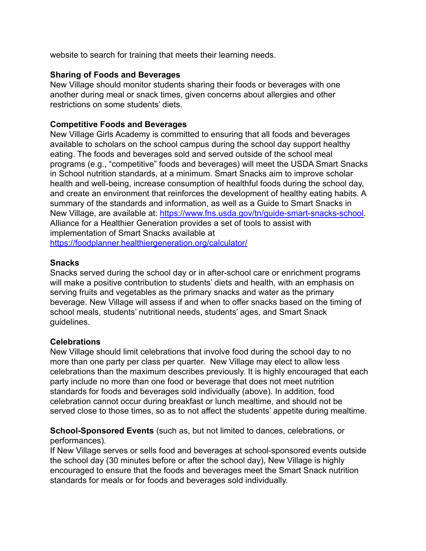website to search for training that meets their learning needs.

#### **Sharing of Foods and Beverages**

New Village should monitor students sharing their foods or beverages with one another during meal or snack times, given concerns about allergies and other restrictions on some students' diets.

#### **Competitive Foods and Beverages**

New Village Girls Academy is committed to ensuring that all foods and beverages available to scholars on the school campus during the school day support healthy eating. The foods and beverages sold and served outside of the school meal programs (e.g., "competitive" foods and beverages) will meet the USDA Smart Snacks in School nutrition standards, at a minimum. Smart Snacks aim to improve scholar health and well-being, increase consumption of healthful foods during the school day, and create an environment that reinforces the development of healthy eating habits. A summary of the standards and information, as well as a Guide to Smart Snacks in New Village, are available at: [https://www.fns.usda.gov/tn/guide-smart-snacks-school.](https://www.fns.usda.gov/tn/guide-smart-snacks-school) Alliance for a Healthier Generation provides a set of tools to assist with implementation of Smart Snacks available at <https://foodplanner.healthiergeneration.org/calculator/>

#### **Snacks**

Snacks served during the school day or in after-school care or enrichment programs will make a positive contribution to students' diets and health, with an emphasis on serving fruits and vegetables as the primary snacks and water as the primary beverage. New Village will assess if and when to offer snacks based on the timing of school meals, students' nutritional needs, students' ages, and Smart Snack guidelines.

#### **Celebrations**

New Village should limit celebrations that involve food during the school day to no more than one party per class per quarter. New Village may elect to allow less celebrations than the maximum describes previously. It is highly encouraged that each party include no more than one food or beverage that does not meet nutrition standards for foods and beverages sold individually (above). In addition, food celebration cannot occur during breakfast or lunch mealtime, and should not be served close to those times, so as to not affect the students' appetite during mealtime.

**School-Sponsored Events** (such as, but not limited to dances, celebrations, or performances).

If New Village serves or sells food and beverages at school-sponsored events outside the school day (30 minutes before or after the school day), New Village is highly encouraged to ensure that the foods and beverages meet the Smart Snack nutrition standards for meals or for foods and beverages sold individually.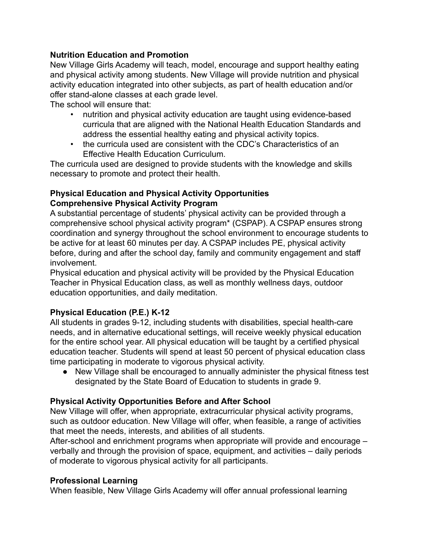## **Nutrition Education and Promotion**

New Village Girls Academy will teach, model, encourage and support healthy eating and physical activity among students. New Village will provide nutrition and physical activity education integrated into other subjects, as part of health education and/or offer stand-alone classes at each grade level.

The school will ensure that:

- nutrition and physical activity education are taught using evidence-based curricula that are aligned with the National Health Education Standards and address the essential healthy eating and physical activity topics.
- the curricula used are consistent with the CDC's Characteristics of an Effective Health Education Curriculum.

The curricula used are designed to provide students with the knowledge and skills necessary to promote and protect their health.

### **Physical Education and Physical Activity Opportunities Comprehensive Physical Activity Program**

A substantial percentage of students' physical activity can be provided through a comprehensive school physical activity program\* (CSPAP). A CSPAP ensures strong coordination and synergy throughout the school environment to encourage students to be active for at least 60 minutes per day. A CSPAP includes PE, physical activity before, during and after the school day, family and community engagement and staff involvement.

Physical education and physical activity will be provided by the Physical Education Teacher in Physical Education class, as well as monthly wellness days, outdoor education opportunities, and daily meditation.

## **Physical Education (P.E.) K-12**

All students in grades 9-12, including students with disabilities, special health-care needs, and in alternative educational settings, will receive weekly physical education for the entire school year. All physical education will be taught by a certified physical education teacher. Students will spend at least 50 percent of physical education class time participating in moderate to vigorous physical activity.

● New Village shall be encouraged to annually administer the physical fitness test designated by the State Board of Education to students in grade 9.

## **Physical Activity Opportunities Before and After School**

New Village will offer, when appropriate, extracurricular physical activity programs, such as outdoor education. New Village will offer, when feasible, a range of activities that meet the needs, interests, and abilities of all students.

After-school and enrichment programs when appropriate will provide and encourage – verbally and through the provision of space, equipment, and activities – daily periods of moderate to vigorous physical activity for all participants.

## **Professional Learning**

When feasible, New Village Girls Academy will offer annual professional learning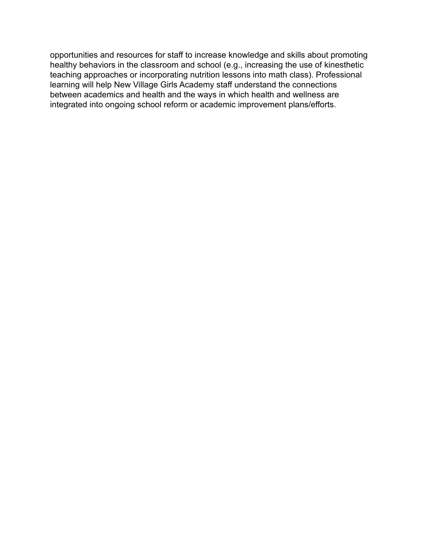opportunities and resources for staff to increase knowledge and skills about promoting healthy behaviors in the classroom and school (e.g., increasing the use of kinesthetic teaching approaches or incorporating nutrition lessons into math class). Professional learning will help New Village Girls Academy staff understand the connections between academics and health and the ways in which health and wellness are integrated into ongoing school reform or academic improvement plans/efforts.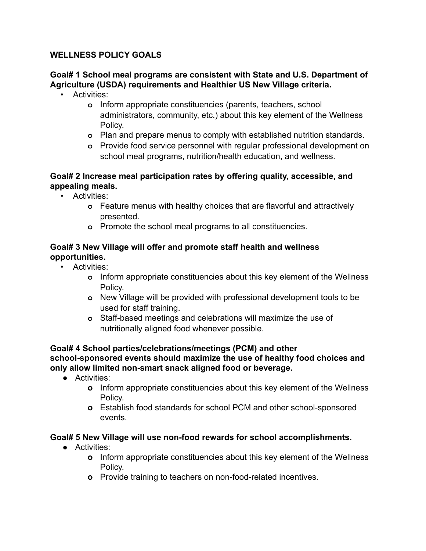## **WELLNESS POLICY GOALS**

## **Goal# 1 School meal programs are consistent with State and U.S. Department of Agriculture (USDA) requirements and Healthier US New Village criteria.**

- Activities:
	- **o** Inform appropriate constituencies (parents, teachers, school administrators, community, etc.) about this key element of the Wellness Policy.
	- **o** Plan and prepare menus to comply with established nutrition standards.
	- **o** Provide food service personnel with regular professional development on school meal programs, nutrition/health education, and wellness.

## **Goal# 2 Increase meal participation rates by offering quality, accessible, and appealing meals.**

- Activities:
	- **o** Feature menus with healthy choices that are flavorful and attractively presented.
	- **o** Promote the school meal programs to all constituencies.

### **Goal# 3 New Village will offer and promote staff health and wellness opportunities.**

- Activities:
	- **o** Inform appropriate constituencies about this key element of the Wellness Policy.
	- **o** New Village will be provided with professional development tools to be used for staff training.
	- **o** Staff-based meetings and celebrations will maximize the use of nutritionally aligned food whenever possible.

#### **Goal# 4 School parties/celebrations/meetings (PCM) and other school-sponsored events should maximize the use of healthy food choices and only allow limited non-smart snack aligned food or beverage.**

- Activities:
	- **o** Inform appropriate constituencies about this key element of the Wellness Policy.
	- **o** Establish food standards for school PCM and other school-sponsored events.

## **Goal# 5 New Village will use non-food rewards for school accomplishments.**

- Activities:
	- **o** Inform appropriate constituencies about this key element of the Wellness Policy.
	- **o** Provide training to teachers on non-food-related incentives.